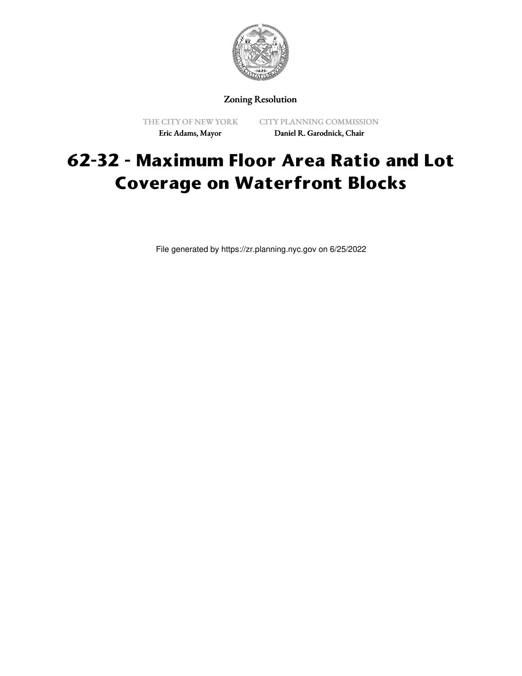

Zoning Resolution

THE CITY OF NEW YORK Eric Adams, Mayor

CITY PLANNING COMMISSION Daniel R. Garodnick, Chair

# **62-32 - Maximum Floor Area Ratio and Lot Coverage on Waterfront Blocks**

File generated by https://zr.planning.nyc.gov on 6/25/2022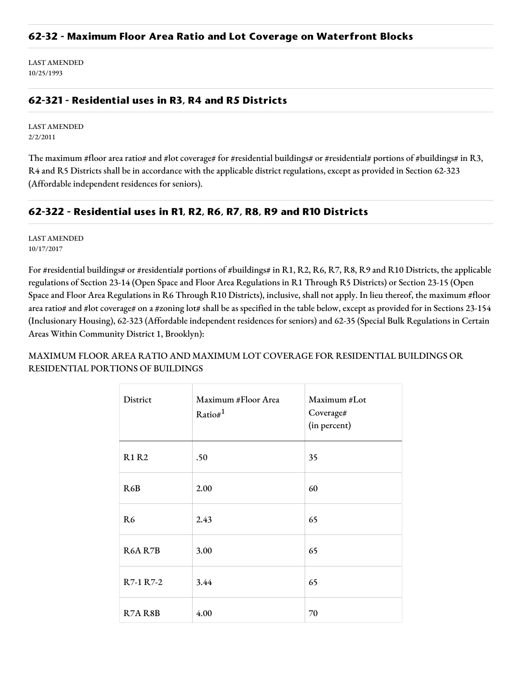### **62-32 - Maximum Floor Area Ratio and Lot Coverage on Waterfront Blocks**

LAST AMENDED 10/25/1993

## **62-321 - Residential uses in R3, R4 and R5 Districts**

LAST AMENDED 2/2/2011

The maximum #floor area ratio# and #lot coverage# for #residential buildings# or #residential# portions of #buildings# in R3, R4 and R5 Districts shall be in accordance with the applicable district regulations, except as provided in Section 62-323 (Affordable independent residences for seniors).

## **62-322 - Residential uses in R1, R2, R6, R7, R8, R9 and R10 Districts**

LAST AMENDED 10/17/2017

For #residential buildings# or #residential# portions of #buildings# in R1, R2, R6, R7, R8, R9 and R10 Districts, the applicable regulations of Section 23-14 (Open Space and Floor Area Regulations in R1 Through R5 Districts) or Section 23-15 (Open Space and Floor Area Regulations in R6 Through R10 Districts), inclusive, shall not apply. In lieu thereof, the maximum #floor area ratio# and #lot coverage# on a #zoning lot# shall be as specified in the table below, except as provided for in Sections 23-154 (Inclusionary Housing), 62-323 (Affordable independent residences for seniors) and 62-35 (Special Bulk Regulations in Certain Areas Within Community District 1, Brooklyn):

MAXIMUM FLOOR AREA RATIO AND MAXIMUM LOT COVERAGE FOR RESIDENTIAL BUILDINGS OR RESIDENTIAL PORTIONS OF BUILDINGS

| District       | Maximum #Floor Area<br>Ratio# $1$ | Maximum #Lot<br>Coverage#<br>(in percent) |
|----------------|-----------------------------------|-------------------------------------------|
| <b>R1 R2</b>   | .50                               | 35                                        |
| R6B            | 2.00                              | 60                                        |
| R <sub>6</sub> | 2.43                              | 65                                        |
| <b>R6A R7B</b> | 3.00                              | 65                                        |
| R7-1 R7-2      | 3.44                              | 65                                        |
| R7A R8B        | 4.00                              | 70                                        |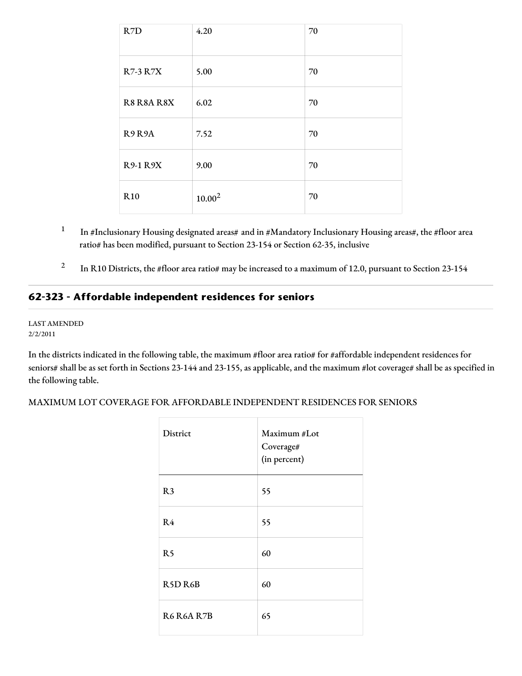| R7D             | 4.20      | 70 |
|-----------------|-----------|----|
| <b>R7-3 R7X</b> | 5.00      | 70 |
| R8 R8A R8X      | 6.02      | 70 |
| R9R9A           | 7.52      | 70 |
| <b>R9-1 R9X</b> | 9.00      | 70 |
| <b>R10</b>      | $10.00^2$ | 70 |

- 1 In #Inclusionary Housing designated areas# and in #Mandatory Inclusionary Housing areas#, the #floor area ratio# has been modified, pursuant to Section 23-154 or Section 62-35, inclusive
- 2 In R10 Districts, the #floor area ratio# may be increased to a maximum of 12.0, pursuant to Section 23-154

# **62-323 - Affordable independent residences for seniors**

#### LAST AMENDED 2/2/2011

In the districts indicated in the following table, the maximum #floor area ratio# for #affordable independent residences for seniors# shall be as set forth in Sections 23-144 and 23-155, as applicable, and the maximum #lot coverage# shall be as specified in the following table.

#### MAXIMUM LOT COVERAGE FOR AFFORDABLE INDEPENDENT RESIDENCES FOR SENIORS

| District       | Maximum #Lot<br>Coverage#<br>(in percent) |
|----------------|-------------------------------------------|
| R <sub>3</sub> | 55                                        |
| R <sub>4</sub> | 55                                        |
| R <sub>5</sub> | 60                                        |
| R5D R6B        | 60                                        |
| R6 R6A R7B     | 65                                        |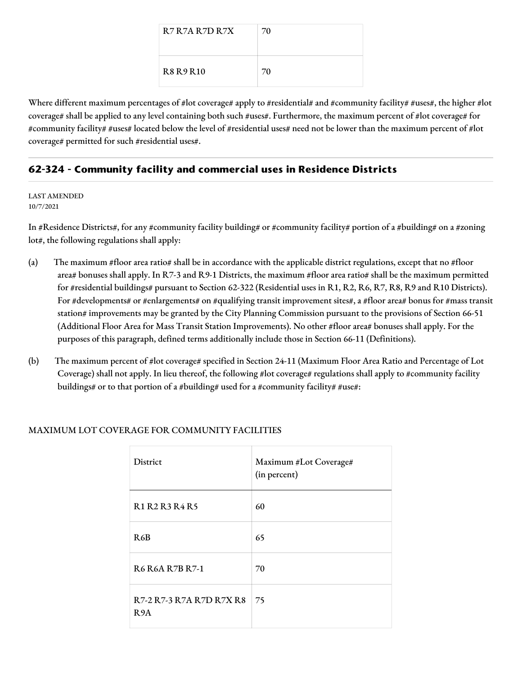| R7 R7A R7D R7X   | 70 |
|------------------|----|
| <b>R8 R9 R10</b> | 70 |

Where different maximum percentages of #lot coverage# apply to #residential# and #community facility# #uses#, the higher #lot coverage# shall be applied to any level containing both such #uses#. Furthermore, the maximum percent of #lot coverage# for #community facility# #uses# located below the level of #residential uses# need not be lower than the maximum percent of #lot coverage# permitted for such #residential uses#.

# **62-324 - Community facility and commercial uses in Residence Districts**

LAST AMENDED 10/7/2021

In #Residence Districts#, for any #community facility building# or #community facility# portion of a #building# on a #zoning lot#, the following regulations shall apply:

- (a) The maximum #floor area ratio# shall be in accordance with the applicable district regulations, except that no #floor area# bonuses shall apply. In R7-3 and R9-1 Districts, the maximum #floor area ratio# shall be the maximum permitted for #residential buildings# pursuant to Section 62-322 (Residential uses in R1, R2, R6, R7, R8, R9 and R10 Districts). For #developments# or #enlargements# on #qualifying transit improvement sites#, a #floor area# bonus for #mass transit station# improvements may be granted by the City Planning Commission pursuant to the provisions of Section 66-51 (Additional Floor Area for Mass Transit Station Improvements). No other #floor area# bonuses shall apply. For the purposes of this paragraph, defined terms additionally include those in Section 66-11 (Definitions).
- (b) The maximum percent of #lot coverage# specified in Section 24-11 (Maximum Floor Area Ratio and Percentage of Lot Coverage) shall not apply. In lieu thereof, the following #lot coverage# regulations shall apply to #community facility buildings# or to that portion of a #building# used for a #community facility# #use#:

| <b>District</b>                              | Maximum #Lot Coverage#<br>(in percent) |
|----------------------------------------------|----------------------------------------|
| <b>R1 R2 R3 R4 R5</b>                        | 60                                     |
| R6B                                          | 65                                     |
| <b>R6 R6A R7B R7-1</b>                       | 70                                     |
| R7-2 R7-3 R7A R7D R7X R8<br>R <sub>9</sub> A | 75                                     |

## MAXIMUM LOT COVERAGE FOR COMMUNITY FACILITIES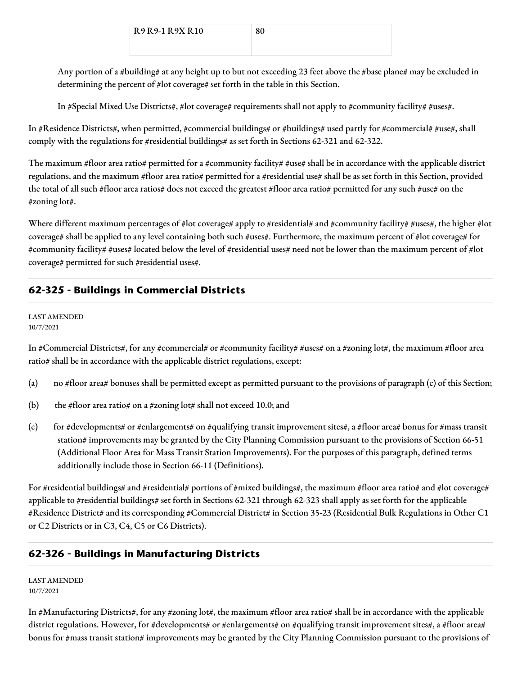Any portion of a #building# at any height up to but not exceeding 23 feet above the #base plane# may be excluded in determining the percent of #lot coverage# set forth in the table in this Section.

In #Special Mixed Use Districts#, #lot coverage# requirements shall not apply to #community facility# #uses#.

In #Residence Districts#, when permitted, #commercial buildings# or #buildings# used partly for #commercial# #use#, shall comply with the regulations for #residential buildings# as set forth in Sections 62-321 and 62-322.

The maximum #floor area ratio# permitted for a #community facility# #use# shall be in accordance with the applicable district regulations, and the maximum #floor area ratio# permitted for a #residential use# shall be as set forth in this Section, provided the total of all such #floor area ratios# does not exceed the greatest #floor area ratio# permitted for any such #use# on the #zoning lot#.

Where different maximum percentages of #lot coverage# apply to #residential# and #community facility# #uses#, the higher #lot coverage# shall be applied to any level containing both such #uses#. Furthermore, the maximum percent of #lot coverage# for #community facility# #uses# located below the level of #residential uses# need not be lower than the maximum percent of #lot coverage# permitted for such #residential uses#.

# **62-325 - Buildings in Commercial Districts**

#### LAST AMENDED 10/7/2021

In #Commercial Districts#, for any #commercial# or #community facility# #uses# on a #zoning lot#, the maximum #floor area ratio# shall be in accordance with the applicable district regulations, except:

- (a) no #floor area# bonuses shall be permitted except as permitted pursuant to the provisions of paragraph (c) of this Section;
- (b) the #floor area ratio# on a #zoning lot# shall not exceed 10.0; and
- (c) for #developments# or #enlargements# on #qualifying transit improvement sites#, a #floor area# bonus for #mass transit station# improvements may be granted by the City Planning Commission pursuant to the provisions of Section 66-51 (Additional Floor Area for Mass Transit Station Improvements). For the purposes of this paragraph, defined terms additionally include those in Section 66-11 (Definitions).

For #residential buildings# and #residential# portions of #mixed buildings#, the maximum #floor area ratio# and #lot coverage# applicable to #residential buildings# set forth in Sections 62-321 through 62-323 shall apply as set forth for the applicable #Residence District# and its corresponding #Commercial District# in Section 35-23 (Residential Bulk Regulations in Other C1 or C2 Districts or in C3, C4, C5 or C6 Districts).

# **62-326 - Buildings in Manufacturing Districts**

LAST AMENDED 10/7/2021

In #Manufacturing Districts#, for any #zoning lot#, the maximum #floor area ratio# shall be in accordance with the applicable district regulations. However, for #developments# or #enlargements# on #qualifying transit improvement sites#, a #floor area# bonus for #mass transit station# improvements may be granted by the City Planning Commission pursuant to the provisions of